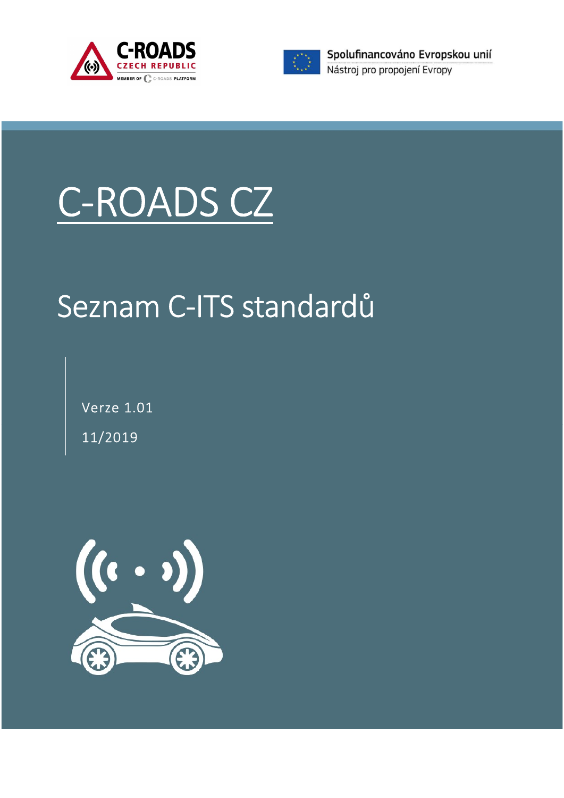



# C-ROADS CZ

# Seznam C-ITS standardů

Verze 1.01 11/2019

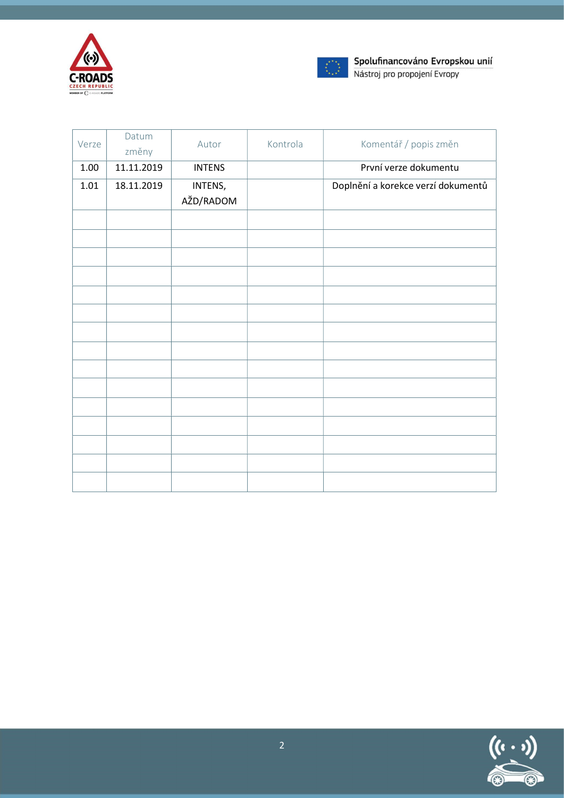



| Verze    | Datum<br>změny | Autor         | Kontrola | Komentář / popis změn              |
|----------|----------------|---------------|----------|------------------------------------|
| 1.00     | 11.11.2019     | <b>INTENS</b> |          | První verze dokumentu              |
| $1.01\,$ | 18.11.2019     | INTENS,       |          | Doplnění a korekce verzí dokumentů |
|          |                | AŽD/RADOM     |          |                                    |
|          |                |               |          |                                    |
|          |                |               |          |                                    |
|          |                |               |          |                                    |
|          |                |               |          |                                    |
|          |                |               |          |                                    |
|          |                |               |          |                                    |
|          |                |               |          |                                    |
|          |                |               |          |                                    |
|          |                |               |          |                                    |
|          |                |               |          |                                    |
|          |                |               |          |                                    |
|          |                |               |          |                                    |
|          |                |               |          |                                    |
|          |                |               |          |                                    |
|          |                |               |          |                                    |

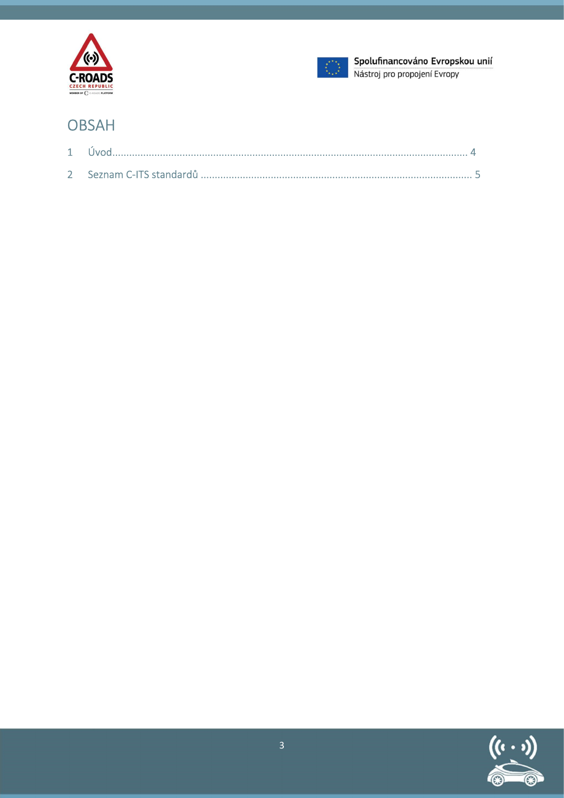



#### **OBSAH**

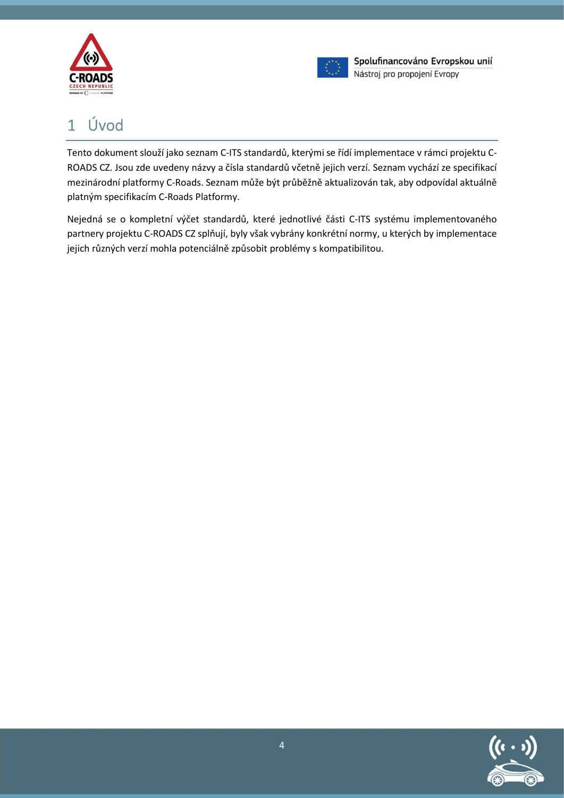



## 1 Úvod

Tento dokument slouží jako seznam C-ITS standardů, kterými se řídí implementace v rámci projektu C-ROADS CZ. Jsou zde uvedeny názvy a čísla standardů včetně jejich verzí. Seznam vychází ze specifikací mezinárodní platformy C-Roads. Seznam může být průběžně aktualizován tak, aby odpovídal aktuálně platným specifikacím C-Roads Platformy.

Nejedná se o kompletní výčet standardů, které jednotlivé části C-ITS systému implementovaného partnery projektu C-ROADS CZ splňují, byly však vybrány konkrétní normy, u kterých by implementace jejich různých verzí mohla potenciálně způsobit problémy s kompatibilitou.

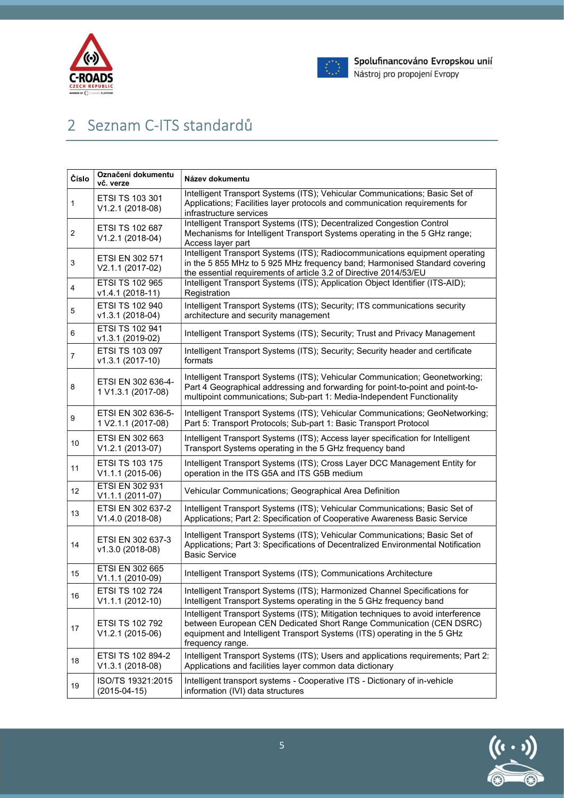



## 2 Seznam C-ITS standardů

| Číslo                   | Označení dokumentu<br>vč. verze            | Název dokumentu                                                                                                                                                                                                                                         |  |
|-------------------------|--------------------------------------------|---------------------------------------------------------------------------------------------------------------------------------------------------------------------------------------------------------------------------------------------------------|--|
| 1                       | ETSI TS 103 301<br>V1.2.1 (2018-08)        | Intelligent Transport Systems (ITS); Vehicular Communications; Basic Set of<br>Applications; Facilities layer protocols and communication requirements for<br>infrastructure services                                                                   |  |
| $\overline{\mathbf{c}}$ | ETSI TS 102 687<br>V1.2.1 (2018-04)        | Intelligent Transport Systems (ITS); Decentralized Congestion Control<br>Mechanisms for Intelligent Transport Systems operating in the 5 GHz range;<br>Access layer part                                                                                |  |
| 3                       | <b>ETSI EN 302 571</b><br>V2.1.1 (2017-02) | Intelligent Transport Systems (ITS); Radiocommunications equipment operating<br>in the 5 855 MHz to 5 925 MHz frequency band; Harmonised Standard covering<br>the essential requirements of article 3.2 of Directive 2014/53/EU                         |  |
| 4                       | ETSI TS 102 965<br>v1.4.1 (2018-11)        | Intelligent Transport Systems (ITS); Application Object Identifier (ITS-AID);<br>Registration                                                                                                                                                           |  |
| 5                       | ETSI TS 102 940<br>v1.3.1 (2018-04)        | Intelligent Transport Systems (ITS); Security; ITS communications security<br>architecture and security management                                                                                                                                      |  |
| 6                       | ETSI TS 102 941<br>v1.3.1 (2019-02)        | Intelligent Transport Systems (ITS); Security; Trust and Privacy Management                                                                                                                                                                             |  |
| 7                       | ETSI TS 103 097<br>v1.3.1 (2017-10)        | Intelligent Transport Systems (ITS); Security; Security header and certificate<br>formats                                                                                                                                                               |  |
| 8                       | ETSI EN 302 636-4-<br>1 V1.3.1 (2017-08)   | Intelligent Transport Systems (ITS); Vehicular Communication; Geonetworking;<br>Part 4 Geographical addressing and forwarding for point-to-point and point-to-<br>multipoint communications; Sub-part 1: Media-Independent Functionality                |  |
| 9                       | ETSI EN 302 636-5-<br>1 V2.1.1 (2017-08)   | Intelligent Transport Systems (ITS); Vehicular Communications; GeoNetworking;<br>Part 5: Transport Protocols; Sub-part 1: Basic Transport Protocol                                                                                                      |  |
| 10                      | ETSI EN 302 663<br>V1.2.1 (2013-07)        | Intelligent Transport Systems (ITS); Access layer specification for Intelligent<br>Transport Systems operating in the 5 GHz frequency band                                                                                                              |  |
| 11                      | ETSI TS 103 175<br>V1.1.1 (2015-06)        | Intelligent Transport Systems (ITS); Cross Layer DCC Management Entity for<br>operation in the ITS G5A and ITS G5B medium                                                                                                                               |  |
| 12                      | ETSI EN 302 931<br>V1.1.1 (2011-07)        | Vehicular Communications; Geographical Area Definition                                                                                                                                                                                                  |  |
| 13                      | ETSI EN 302 637-2<br>V1.4.0 (2018-08)      | Intelligent Transport Systems (ITS); Vehicular Communications; Basic Set of<br>Applications; Part 2: Specification of Cooperative Awareness Basic Service                                                                                               |  |
| 14                      | ETSI EN 302 637-3<br>v1.3.0 (2018-08)      | Intelligent Transport Systems (ITS); Vehicular Communications; Basic Set of<br>Applications; Part 3: Specifications of Decentralized Environmental Notification<br><b>Basic Service</b>                                                                 |  |
| 15                      | ETSI EN 302 665<br>V1.1.1 (2010-09)        | Intelligent Transport Systems (ITS); Communications Architecture                                                                                                                                                                                        |  |
| 16                      | ETSI TS 102 724<br>$V1.1.1 (2012-10)$      | Intelligent Transport Systems (ITS); Harmonized Channel Specifications for<br>Intelligent Transport Systems operating in the 5 GHz frequency band                                                                                                       |  |
| 17                      | ETSI TS 102 792<br>V1.2.1 (2015-06)        | Intelligent Transport Systems (ITS); Mitigation techniques to avoid interference<br>between European CEN Dedicated Short Range Communication (CEN DSRC)<br>equipment and Intelligent Transport Systems (ITS) operating in the 5 GHz<br>frequency range. |  |
| 18                      | ETSI TS 102 894-2<br>V1.3.1 (2018-08)      | Intelligent Transport Systems (ITS); Users and applications requirements; Part 2:<br>Applications and facilities layer common data dictionary                                                                                                           |  |
| 19                      | ISO/TS 19321:2015<br>$(2015 - 04 - 15)$    | Intelligent transport systems - Cooperative ITS - Dictionary of in-vehicle<br>information (IVI) data structures                                                                                                                                         |  |